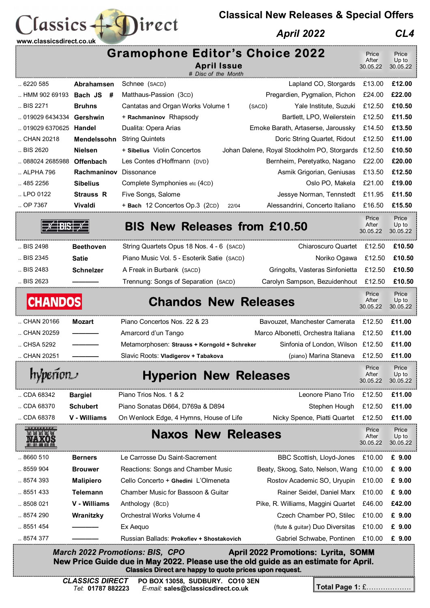## **Classical New Releases & Special Offers**

## *April 2022 CL4*



 $lassics + \bigcapirect$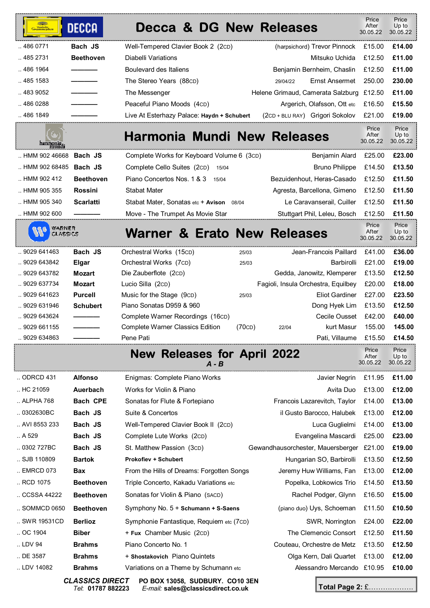| Grammophon           | <b>DECCA</b>     | <b>Decca &amp; DG New Releases</b>                    |        |                                          | Price<br>After<br>30.05.22 | Price<br>Up to<br>30.05.22 |
|----------------------|------------------|-------------------------------------------------------|--------|------------------------------------------|----------------------------|----------------------------|
| 486 0771             | Bach JS          | Well-Tempered Clavier Book 2 (2cD)                    |        | (harpsichord) Trevor Pinnock             | £15.00                     | £14.00                     |
| .4852731             | <b>Beethoven</b> | <b>Diabelli Variations</b>                            |        | Mitsuko Uchida                           | £12.50                     | £11.00                     |
| 486 1964             |                  | <b>Boulevard des Italiens</b>                         |        | Benjamin Bernheim, Chaslin               | £12.50                     | £11.00                     |
| 485 1583             |                  | The Stereo Years (88CD)                               |        | <b>Ernst Ansermet</b><br>29/04/22        | 250.00                     | 230.00                     |
| 483 9052             |                  | The Messenger                                         |        | Helene Grimaud, Camerata Salzburg £12.50 |                            | £11.00                     |
| 486 0288             |                  | Peaceful Piano Moods (4cD)                            |        | Argerich, Olafsson, Ott etc              | £16.50                     | £15.50                     |
| 486 1849             |                  | Live At Esterhazy Palace: Haydn + Schubert            |        | (2CD + BLU RAY) Grigori Sokolov          | £21.00                     | £19.00                     |
| harmonia             |                  | Harmonia Mundi New Releases                           |        |                                          | Price<br>After<br>30.05.22 | Price<br>Up to<br>30.05.22 |
| HMM 902 46668        | Bach JS          | Complete Works for Keyboard Volume 6 (3cD)            |        | Benjamin Alard                           | £25.00                     | £23.00                     |
| HMM 902 68485        | Bach JS          | Complete Cello Suites (2cD)                           | 15/04  | <b>Bruno Philippe</b>                    | £14.50                     | £13.50                     |
| $\ldots$ HMM 902 412 | <b>Beethoven</b> | Piano Concertos Nos. 1 & 3                            | 15/04  | Bezuidenhout, Heras-Casado               | £12.50                     | £11.50                     |
| HMM 905 355          | <b>Rossini</b>   | <b>Stabat Mater</b>                                   |        | Agresta, Barcellona, Gimeno              | £12.50                     | £11.50                     |
| HMM 905 340          | <b>Scarlatti</b> | Stabat Mater, Sonatas etc + Avison                    | 08/04  | Le Caravanserail, Cuiller                | £12.50                     | £11.50                     |
| HMM 902 600          |                  | Move - The Trumpet As Movie Star                      |        | Stuttgart Phil, Leleu, Bosch             | £12.50                     | £11.50                     |
| WARNER<br>CLASSICS   |                  | <b>Warner &amp; Erato New Releases</b>                |        |                                          | Price<br>After<br>30.05.22 | Price<br>Up to<br>30.05.22 |
| 9029 641463          | Bach JS          | Orchestral Works (15cD)                               | 25/03  | Jean-Francois Paillard                   | £41.00                     | £36.00                     |
| 9029 643842          | Elgar            | Orchestral Works (7cD)                                | 25/03  | Barbirolli                               | £21.00                     | £19.00                     |
| 9029 643782          | Mozart           | Die Zauberflote (2cD)                                 |        | Gedda, Janowitz, Klemperer               | £13.50                     | £12.50                     |
| 9029 637734          | <b>Mozart</b>    | Lucio Silla (2cD)                                     |        | Fagioli, Insula Orchestra, Equilbey      | £20.00                     | £18.00                     |
| 9029 641623          | <b>Purcell</b>   | Music for the Stage (9cD)                             | 25/03  | <b>Eliot Gardiner</b>                    | £27.00                     | £23.50                     |
| 9029 631946          | <b>Schubert</b>  | Piano Sonatas D959 & 960                              |        | Dong Hyek Lim                            | £13.50                     | £12.50                     |
| 9029 643624          |                  | Complete Warner Recordings (16cD)                     |        | <b>Cecile Ousset</b>                     | £42.00                     | £40.00                     |
| 9029 661155          |                  | <b>Complete Warner Classics Edition</b>               | (70CD) | kurt Masur<br>22/04                      | 155.00                     | 145.00                     |
| . 9029 634863        |                  | Pene Pati                                             |        | Pati, Villaume                           | £15.50                     | £14.50                     |
|                      |                  | <b>Releases for April 2022</b><br><b>New</b><br>A - B |        |                                          | Price<br>After<br>30.05.22 | Price<br>Up to<br>30.05.22 |
| ODRCD 431            | <b>Alfonso</b>   | Enigmas: Complete Piano Works                         |        | Javier Negrin                            | £11.95                     | £11.00                     |
| HC 21059             | Auerbach         | Works for Violin & Piano                              |        | Avita Duo                                | £13.00                     | £12.00                     |
| ALPHA 768            | <b>Bach CPE</b>  | Sonatas for Flute & Fortepiano                        |        | Francois Lazarevitch, Taylor             | £14.00                     | £13.00                     |
| .0302630BC           | Bach JS          | Suite & Concertos                                     |        | il Gusto Barocco, Halubek                | £13.00                     | £12.00                     |
| AVI 8553 233         | Bach JS          | Well-Tempered Clavier Book II (2cD)                   |        | Luca Guglielmi                           | £14.00                     | £13.00                     |
| . A529               | Bach JS          | Complete Lute Works (2cD)                             |        | Evangelina Mascardi                      | £25.00                     | £23.00                     |
| .0302727BC           | Bach JS          | St. Matthew Passion (3cD)                             |        | Gewandhausorchester, Mauersberger        | £21.00                     | £19.00                     |
| SJB 110809           | <b>Bartok</b>    | <b>Prokofiev + Schubert</b>                           |        | Hungarian SO, Barbirolli                 | £13.50                     | £12.50                     |
| EMRCD 073            | Bax              | From the Hills of Dreams: Forgotten Songs             |        | Jeremy Huw Williams, Fan                 | £13.00                     | £12.00                     |
| RCD 1075             | <b>Beethoven</b> | Triple Concerto, Kakadu Variations etc                |        | Popelka, Lobkowics Trio                  | £14.50                     | £13.50                     |
| CCSSA 44222          | <b>Beethoven</b> | Sonatas for Violin & Piano (SACD)                     |        | Rachel Podger, Glynn                     | £16.50                     | £15.00                     |
| SOMMCD 0650          | <b>Beethoven</b> | Symphony No. 5 + Schumann + S-Saens                   |        | (piano duo) Uys, Schoeman                | £11.50                     | £10.50                     |
| SWR 19531CD          | <b>Berlioz</b>   | Symphonie Fantastique, Requiem etc (7CD)              |        | SWR, Norrington                          | £24.00                     | £22.00                     |
| OC 1904              | <b>Biber</b>     | + Fux Chamber Music (2cD)                             |        | The Clemencic Consort                    | £12.50                     | £11.50                     |
| LDV 94               | <b>Brahms</b>    | Piano Concerto No. 1                                  |        | Couteau, Orchestre de Metz               | £13.50                     | £12.50                     |
| DE 3587              | <b>Brahms</b>    | + Shostakovich Piano Quintets                         |        | Olga Kern, Dali Quartet                  | £13.00                     | £12.00                     |
| LDV 14082            | <b>Brahms</b>    | Variations on a Theme by Schumann etc                 |        | Alessandro Mercando £10.95               |                            | £10.00                     |
|                      |                  |                                                       |        |                                          |                            |                            |

*Tel*: **01787 882223** *E-mail:* **sales@classicsdirect.co.uk**

*CLASSICS DIRECT* **PO BOX 13058, SUDBURY. CO10 3EN** 

**Total Page 2:** £……………….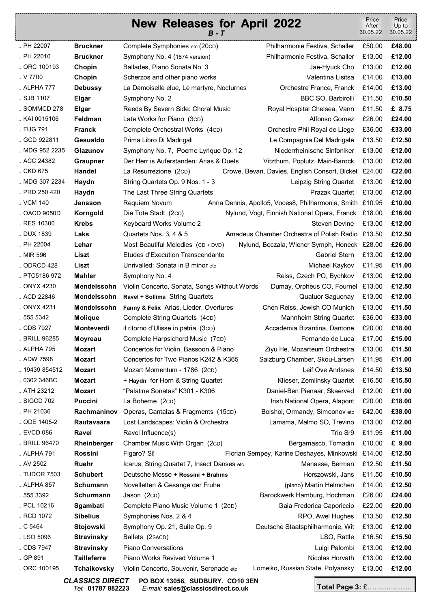|                 |                    | <b>New Releases for April 2022</b>                                                 | Price<br>After<br>30.05.22 | Price<br>Up to<br>30.05.22 |
|-----------------|--------------------|------------------------------------------------------------------------------------|----------------------------|----------------------------|
| PH 22007        | <b>Bruckner</b>    | Complete Symphonies etc (20CD)<br>Philharmonie Festiva, Schaller                   | £50.00                     | £48.00                     |
| PH 22010        | <b>Bruckner</b>    | Symphony No. 4 (1874 version)<br>Philharmonie Festiva, Schaller                    | £13.00                     | £12.00                     |
| ORC 100193      | Chopin             | Ballades, Piano Sonata No. 3<br>Jae-Hyuck Cho                                      | £13.00                     | £12.00                     |
| . V7700         | Chopin             | Scherzos and other piano works<br>Valentina Lisitsa                                | £14.00                     | £13.00                     |
| ALPHA 777       | <b>Debussy</b>     | Orchestre France, Franck<br>La Damoiselle elue, Le martyre, Nocturnes              | £14.00                     | £13.00                     |
| SJB 1107        | <b>Elgar</b>       | BBC SO, Barbirolli<br>Symphony No. 2                                               | £11.50                     | £10.50                     |
| SOMMCD 278      | Elgar              | Reeds By Severn Side: Choral Music<br>Royal Hospital Chelsea, Vann                 | £11.50                     | £ 8.75                     |
| KAI 0015106     | Feldman            | Late Works for Piano (3cD)<br>Alfonso Gomez                                        | £26.00                     | £24.00                     |
| FUG 791         | <b>Franck</b>      | Orchestre Phil Royal de Liege<br>Complete Orchestral Works (4cD)                   | £36.00                     | £33.00                     |
| GCD 922811      | Gesualdo           | Prima Libro Di Madrigali<br>Le Compagnia Del Madrigale                             | £13.50                     | £12.50                     |
| MDG 952 2235    | Glazunov           | Symphony No. 7, Poeme Lyrique Op. 12<br>Niederrheinische Sinfoniker                | £13.00                     | £12.00                     |
| ACC 24382       | <b>Graupner</b>    | Der Herr is Auferstanden: Arias & Duets<br>Vitzthum, Poplutz, Main-Barock          | £13.00                     | £12.00                     |
| CKD 675         | Handel             | La Resurrezione (2cD)<br>Crowe, Bevan, Davies, English Consort, Bicket £24.00      |                            | £22.00                     |
| MDG 307 2234    | Haydn              | String Quartets Op. 9 Nos. 1 - 3<br>Leipzig String Quartet                         | £13.00                     | £12.00                     |
| PRD 250 420     | Haydn              | Prazak Quartet<br>The Last Three String Quartets                                   | £13.00                     | £12.00                     |
| VCM 140         | Jansson            | Requiem Novum<br>Anna Dennis, Apollo5, Voces8, Philharmonia, Smith £10.95          |                            | £10.00                     |
| OACD 9050D      | Korngold           | Die Tote Stadt (2cD)<br>Nylund, Vogt, Finnish National Opera, Franck £18.00        |                            | £16.00                     |
| RES 10300       | <b>Krebs</b>       | <b>Steven Devine</b><br>Keyboard Works Volume 2                                    | £13.00                     | £12.00                     |
| DUX 1839        | Laks               | Amadeus Chamber Orchestra of Polish Radio £13.50<br>Quartets Nos. 3, 4 & 5         |                            | £12.50                     |
| PH 22004        | Lehar              | Most Beautiful Melodies (CD + DVD)<br>Nylund, Beczala, Wiener Symph, Honeck £28.00 |                            | £26.00                     |
| MIR 596         | Liszt              | <b>Etudes d'Execution Transcendante</b><br>Gabriel Stern                           | £13.00                     | £12.00                     |
| ODRCD 428       | Liszt              | Unrivalled: Sonata in B minor etc<br>Michael Kaykov                                | £11.95                     | £11.00                     |
| PTC5186 972     | <b>Mahler</b>      | Reiss, Czech PO, Bychkov<br>Symphony No. 4                                         | £13.00                     | £12.00                     |
| ONYX 4230       | <b>Mendelssohn</b> | Dumay, Orpheus CO, Fournel £13.00<br>Violin Concerto, Sonata, Songs Without Words  |                            | £12.50                     |
| ACD 22846       | Mendelssohn        | <b>Quatuor Saguenay</b><br><b>Ravel + Sollima String Quartets</b>                  | £13.00                     | £12.00                     |
| ONYX 4231       | Mendelssohn        | Chen Reiss, Jewish CO Munich<br>Fanny & Felix Arias, Lieder, Overtures             | £13.00                     | £11.50                     |
| 555 5342        | <b>Molique</b>     | Complete String Quartets (4cD)<br>Mannheim String Quartet                          | £36.00                     | £33.00                     |
| CDS 7927        | Monteverdi         | il ritorno d'Ulisse in patria (3cD)<br>Accademia Bizantina, Dantone                | £20.00                     | £18.00                     |
| BRILL 96285     | <b>Moyreau</b>     | Complete Harpsichord Music (7cD)<br>Fernando de Luca                               | £17.00                     | £15.00                     |
| ALPHA 795       | <b>Mozart</b>      | Concertos for Violin, Bassoon & Piano<br>Ziyu He, Mozarteum Orchestra              | £13.00                     | £11.50                     |
| ADW 7598        | <b>Mozart</b>      | Concertos for Two Pianos K242 & K365<br>Salzburg Chamber, Skou-Larsen              | £11.95                     | £11.00                     |
| 19439 854512    | <b>Mozart</b>      | Leif Ove Andsnes<br>Mozart Momentum - 1786 (2cD)                                   | £14.50                     | £13.50                     |
| .0302346BC      | <b>Mozart</b>      | + Haydn for Horn & String Quartet<br>Klieser, Zemlinsky Quartet                    | £16.50                     | £15.50                     |
| ATH 23212       | <b>Mozart</b>      | "Palatine Sonatas" K301 - K306<br>Daniel-Ben Pienaar, Skaerved                     | £12.00                     | £11.00                     |
| SIGCD 702       | <b>Puccini</b>     | La Boheme (2CD)<br>Irish National Opera, Alapont                                   | £20.00                     | £18.00                     |
| $.$ PH 21036    | Rachmaninov        | Bolshoi, Ormandy, Simeonov etc<br>Operas, Cantatas & Fragments (15cD)              | £42.00                     | £38.00                     |
| ODE 1405-2      | Rautavaara         | Lost Landscapes: Violin & Orchestra<br>Lamsma, Malmo SO, Trevino                   | £13.00                     | £12.00                     |
| EVCD 086        | Ravel              | Ravel Influence(s)<br>Trio Sr9                                                     | £11.95                     | £11.00                     |
| BRILL 96470     | Rheinberger        | Chamber Music With Organ (2cD)<br>Bergamasco, Tomadin                              | £10.00                     | £ 9.00                     |
| ALPHA 791       | <b>Rossini</b>     | Figaro? Si!<br>Florian Sempey, Karine Deshayes, Minkowski £14.00                   |                            | £12.50                     |
| . AV 2502       | Ruehr              | Icarus, String Quartet 7, Insect Danses etc<br>Manasse, Berman                     | £12.50                     | £11.50                     |
| TUDOR 7503      | <b>Schubert</b>    | Deutsche Messe + Rossini + Brahms<br>Horszowski, Jans                              | £11.50                     | £10.50                     |
| ALPHA 857       | <b>Schumann</b>    | Novelletten & Gesange der Fruhe<br>(piano) Martin Helmchen                         | £14.00                     | £12.50                     |
| .5553392        | Schurmann          | Barockwerk Hamburg, Hochman<br>Jason (2cD)                                         | £26.00                     | £24.00                     |
| PCL 10216       | Sgambati           | Complete Piano Music Volume 1 (2cD)<br>Gaia Frederica Caporiccio                   | £22.00                     | £20.00                     |
| RCD 1072        | <b>Sibelius</b>    | Symphonies Nos. 2 & 4<br>RPO, Awel Hughes                                          | £13.50                     | £12.50                     |
| $\ldots$ C 5464 | Stojowski          | Symphony Op. 21, Suite Op. 9<br>Deutsche Staatsphilharmonie, Wit                   | £13.00                     | £12.00                     |
| LSO 5096        | <b>Stravinsky</b>  | Ballets (2 SACD)<br>LSO, Rattle                                                    | £16.50                     | £15.50                     |
| CDS 7947        | <b>Stravinsky</b>  | Piano Conversations<br>Luigi Palombi                                               | £13.00                     | £12.00                     |
| GP 891          | <b>Tailleferre</b> | Piano Works Revived Volume 1<br>Nicolas Horvath                                    | £13.00                     | £12.00                     |
| ORC 100195      | Tchaikovsky        | Lomeiko, Russian State, Polyansky<br>Violin Concerto, Souvenir, Serenade etc       | £13.00                     | £12.00                     |

*CLASSICS DIRECT* **PO BOX 13058, SUDBURY. CO10 3EN**  *Tel*: **01787 882223** *E-mail:* **sales@classicsdirect.co.uk**

**Total Page 3:** £……………….